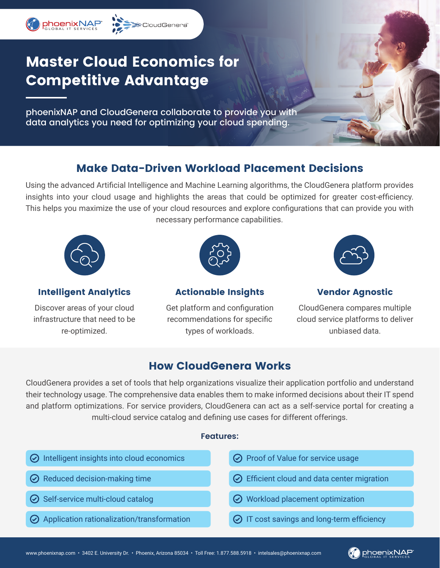

phoenixNAP and CloudGenera collaborate to provide you with data analytics you need for optimizing your cloud spending.

**SE**CloudGenera<sup>®</sup>

# Make Data-Driven Workload Placement Decisions

Using the advanced Artificial Intelligence and Machine Learning algorithms, the CloudGenera platform provides insights into your cloud usage and highlights the areas that could be optimized for greater cost-efficiency. This helps you maximize the use of your cloud resources and explore configurations that can provide you with necessary performance capabilities.



**PhoenixNAP** 

Intelligent Analytics

Discover areas of your cloud infrastructure that need to be re-optimized.



Actionable Insights

Get platform and configuration recommendations for specific types of workloads.



Vendor Agnostic

CloudGenera compares multiple cloud service platforms to deliver unbiased data.

## How CloudGenera Works

CloudGenera provides a set of tools that help organizations visualize their application portfolio and understand their technology usage. The comprehensive data enables them to make informed decisions about their IT spend and platform optimizations. For service providers, CloudGenera can act as a self-service portal for creating a multi-cloud service catalog and defining use cases for different offerings.

#### **Features:**